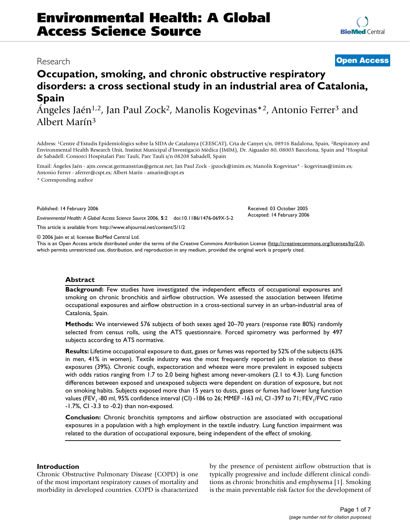## Research **[Open Access](http://www.biomedcentral.com/info/about/charter/)**

# **Occupation, smoking, and chronic obstructive respiratory disorders: a cross sectional study in an industrial area of Catalonia, Spain**

Ángeles Jaén1,2, Jan Paul Zock2, Manolis Kogevinas\*2, Antonio Ferrer3 and Albert Marín3

Address: 1Centre d'Estudis Epidemiològics sobre la SIDA de Catalunya (CEESCAT), Crta de Canyet s/n, 08916 Badalona, Spain, 2Respiratory and Environmental Health Research Unit, Institut Municipal d'Investigació Mèdica (IMIM), Dr. Aiguader 80, 08003 Barcelona, Spain and 3Hospital de Sabadell. Consorci Hospitalari Parc Taulí, Parc Taulí s/n 08208 Sabadell, Spain

Email: Ángeles Jaén - ajm.ceescat.germanstrias@gencat.net; Jan Paul Zock - jpzock@imim.es; Manolis Kogevinas\* - kogevinas@imim.es; Antonio Ferrer - aferrer@cspt.es; Albert Marín - amarin@cspt.es

\* Corresponding author

Published: 14 February 2006

*Environmental Health: A Global Access Science Source* 2006, **5**:2 doi:10.1186/1476-069X-5-2

[This article is available from: http://www.ehjournal.net/content/5/1/2](http://www.ehjournal.net/content/5/1/2)

© 2006 Jaén et al; licensee BioMed Central Ltd.

This is an Open Access article distributed under the terms of the Creative Commons Attribution License [\(http://creativecommons.org/licenses/by/2.0\)](http://creativecommons.org/licenses/by/2.0), which permits unrestricted use, distribution, and reproduction in any medium, provided the original work is properly cited.

## **Abstract**

**Background:** Few studies have investigated the independent effects of occupational exposures and smoking on chronic bronchitis and airflow obstruction. We assessed the association between lifetime occupational exposures and airflow obstruction in a cross-sectional survey in an urban-industrial area of Catalonia, Spain.

**Methods:** We interviewed 576 subjects of both sexes aged 20–70 years (response rate 80%) randomly selected from census rolls, using the ATS questionnaire. Forced spirometry was performed by 497 subjects according to ATS normative.

**Results:** Lifetime occupational exposure to dust, gases or fumes was reported by 52% of the subjects (63% in men, 41% in women). Textile industry was the most frequently reported job in relation to these exposures (39%). Chronic cough, expectoration and wheeze were more prevalent in exposed subjects with odds ratios ranging from 1.7 to 2.0 being highest among never-smokers (2.1 to 4.3). Lung function differences between exposed and unexposed subjects were dependent on duration of exposure, but not on smoking habits. Subjects exposed more than 15 years to dusts, gases or fumes had lower lung function values (FEV<sub>1</sub> -80 ml, 95% confidence interval (CI) -186 to 26; MMEF -163 ml, CI -397 to 71; FEV<sub>1</sub>/FVC ratio -1.7%, CI -3.3 to -0.2) than non-exposed.

**Conclusion:** Chronic bronchitis symptoms and airflow obstruction are associated with occupational exposures in a population with a high employment in the textile industry. Lung function impairment was related to the duration of occupational exposure, being independent of the effect of smoking.

## **Introduction**

Chronic Obstructive Pulmonary Disease (COPD) is one of the most important respiratory causes of mortality and morbidity in developed countries. COPD is characterized by the presence of persistent airflow obstruction that is typically progressive and include different clinical conditions as chronic bronchitis and emphysema [1]. Smoking is the main preventable risk factor for the development of

Received: 03 October 2005 Accepted: 14 February 2006

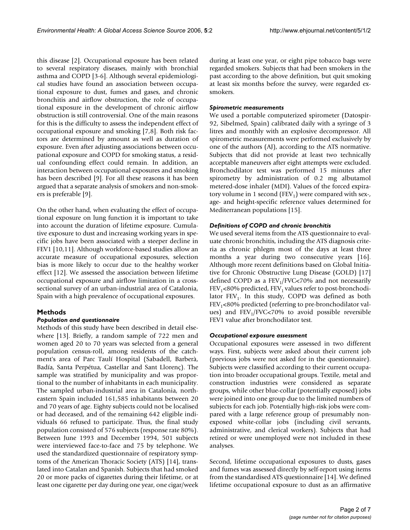this disease [2]. Occupational exposure has been related to several respiratory diseases, mainly with bronchial asthma and COPD [3-6]. Although several epidemiological studies have found an association between occupational exposure to dust, fumes and gases, and chronic bronchitis and airflow obstruction, the role of occupational exposure in the development of chronic airflow obstruction is still controversial. One of the main reasons for this is the difficulty to assess the independent effect of occupational exposure and smoking [7,8]. Both risk factors are determined by amount as well as duration of exposure. Even after adjusting associations between occupational exposure and COPD for smoking status, a residual confounding effect could remain. In addition, an interaction between occupational exposures and smoking has been described [9]. For all these reasons it has been argued that a separate analysis of smokers and non-smokers is preferable [9].

On the other hand, when evaluating the effect of occupational exposure on lung function it is important to take into account the duration of lifetime exposure. Cumulative exposure to dust and increasing working years in specific jobs have been associated with a steeper decline in FEV1 [10,11]. Although workforce-based studies allow an accurate measure of occupational exposures, selection bias is more likely to occur due to the healthy worker effect [12]. We assessed the association between lifetime occupational exposure and airflow limitation in a crosssectional survey of an urban-industrial area of Catalonia, Spain with a high prevalence of occupational exposures.

## **Methods**

## *Population and questionnaire*

Methods of this study have been described in detail elsewhere [13]. Briefly, a random sample of 722 men and women aged 20 to 70 years was selected from a general population census-roll, among residents of the catchment's area of Parc Taulí Hospital (Sabadell, Barberà, Badía, Santa Perpétua, Castellar and Sant Llorenç). The sample was stratified by municipality and was proportional to the number of inhabitants in each municipality. The sampled urban-industrial area in Catalonia, northeastern Spain included 161,585 inhabitants between 20 and 70 years of age. Eighty subjects could not be localised or had deceased, and of the remaining 642 eligible individuals 66 refused to participate. Thus, the final study population consisted of 576 subjects (response rate 80%). Between June 1993 and December 1994, 501 subjects were interviewed face-to-face and 75 by telephone. We used the standardized questionnaire of respiratory symptoms of the American Thoracic Society (ATS) [14], translated into Catalan and Spanish. Subjects that had smoked 20 or more packs of cigarettes during their lifetime, or at least one cigarette per day during one year, one cigar/week during at least one year, or eight pipe tobacco bags were regarded smokers. Subjects that had been smokers in the past according to the above definition, but quit smoking at least six months before the survey, were regarded exsmokers.

#### *Spirometric measurements*

We used a portable computerized spirometer (Datospir-92, Sibelmed, Spain) calibrated daily with a syringe of 3 litres and monthly with an explosive decompressor. All spirometric measurements were performed exclusively by one of the authors (AJ), according to the ATS normative. Subjects that did not provide at least two technically acceptable maneuvers after eight attempts were excluded. Bronchodilator test was performed 15 minutes after spirometry by administration of 0.2 mg albutamol metered-dose inhaler (MDI). Values of the forced expiratory volume in 1 second (FEV<sub>1</sub>) were compared with sex-, age- and height-specific reference values determined for Mediterranean populations [15].

#### *Definitions of COPD and chronic bronchitis*

We used several items from the ATS questionnaire to evaluate chronic bronchitis, including the ATS diagnosis criteria as chronic phlegm most of the days at least three months a year during two consecutive years [16]. Although more recent definitions based on Global Initiative for Chronic Obstructive Lung Disease (GOLD) [17] defined COPD as a  $FEV<sub>1</sub>/FVC<70%$  and not necessarily  $FEV<sub>1</sub>$ <80% predicted,  $FEV<sub>1</sub>$  values refer to post-bronchodilator  $FEV<sub>1</sub>$ . In this study, COPD was defined as both  $FEV<sub>1</sub>$ <80% predicted (referring to pre-bronchodilator values) and  $FEV<sub>1</sub>/FVC<70%$  to avoid possible reversible FEV1 value after bronchodilator test.

#### *Occupational exposure assessment*

Occupational exposures were assessed in two different ways. First, subjects were asked about their current job (previous jobs were not asked for in the questionnaire). Subjects were classified according to their current occupation into broader occupational groups. Textile, metal and construction industries were considered as separate groups, while other blue-collar (potentially exposed) jobs were joined into one group due to the limited numbers of subjects for each job. Potentially high-risk jobs were compared with a large reference group of presumably nonexposed white-collar jobs (including civil servants, administrative, and clerical workers). Subjects that had retired or were unemployed were not included in these analyses.

Second, lifetime occupational exposures to dusts, gases and fumes was assessed directly by self-report using items from the standardised ATS questionnaire [14]. We defined lifetime occupational exposure to dust as an affirmative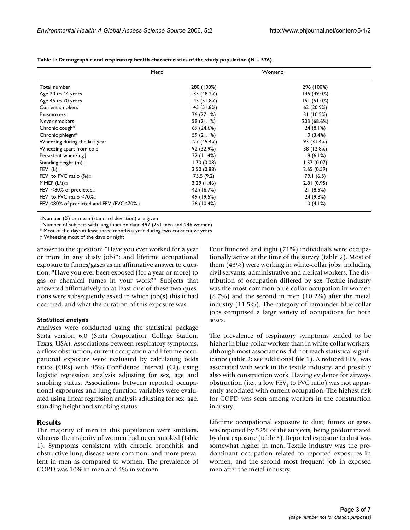|                                                                  | Men‡        | Women‡      |
|------------------------------------------------------------------|-------------|-------------|
| Total number                                                     | 280 (100%)  | 296 (100%)  |
| Age 20 to 44 years                                               | 135 (48.2%) | 145 (49.0%) |
| Age 45 to 70 years                                               | 145 (51.8%) | 151(51.0%)  |
| <b>Current smokers</b>                                           | 145 (51.8%) | 62 (20.9%)  |
| Ex-smokers                                                       | 76 (27.1%)  | 31 (10.5%)  |
| Never smokers                                                    | 59 (21.1%)  | 203 (68.6%) |
| Chronic cough*                                                   | 69 (24.6%)  | 24(8.1%)    |
| Chronic phlegm*                                                  | 59 (21.1%)  | 10(3.4%)    |
| Wheezing during the last year                                    | 127 (45.4%) | 93 (31.4%)  |
| Wheezing apart from cold                                         | 92 (32.9%)  | 38 (12.8%)  |
| Persistent wheezing <sup>+</sup>                                 | 32 (11.4%)  | 18(6.1%)    |
| Standing height $(m)$                                            | 1.70(0.08)  | 1.57(0.07)  |
| $FEV_1(L)$                                                       | 3.50(0.88)  | 2.65(0.59)  |
| FEV, to FVC ratio $(\%)$                                         | 75.5 (9.2)  | 79.I (6.5)  |
| MMEF $(L/s)$                                                     | 3.29(1.46)  | 2.81(0.95)  |
| $FEV_1$ <80% of predicted $\Box$                                 | 42 (16.7%)  | 21(8.5%)    |
| FEV, to FVC ratio $\leq 70\%$                                    | 49 (19.5%)  | 24 (9.8%)   |
| FEV <sub>1</sub> <80% of predicted and FEV <sub>1</sub> /FVC<70% | 26 (10.4%)  | 10(4.1%)    |

**Table 1: Demographic and respiratory health characteristics of the study population (N = 576)**

‡Number (%) or mean (standard deviation) are given

Number of subjects with lung function data: 497 (251 men and 246 women)

\* Most of the days at least three months a year during two consecutive years

† Wheezing most of the days or night

answer to the question: "Have you ever worked for a year or more in any dusty job?"; and lifetime occupational exposure to fumes/gases as an affirmative answer to question: "Have you ever been exposed (for a year or more) to gas or chemical fumes in your work?" Subjects that answered affirmatively to at least one of these two questions were subsequently asked in which job(s) this it had occurred, and what the duration of this exposure was.

#### *Statistical analysis*

Analyses were conducted using the statistical package Stata version 6.0 (Stata Corporation, College Station, Texas, USA). Associations between respiratory symptoms, airflow obstruction, current occupation and lifetime occupational exposure were evaluated by calculating odds ratios (ORs) with 95% Confidence Interval (CI), using logistic regression analysis adjusting for sex, age and smoking status. Associations between reported occupational exposures and lung function variables were evaluated using linear regression analysis adjusting for sex, age, standing height and smoking status.

#### **Results**

The majority of men in this population were smokers, whereas the majority of women had never smoked (table 1). Symptoms consistent with chronic bronchitis and obstructive lung disease were common, and more prevalent in men as compared to women. The prevalence of COPD was 10% in men and 4% in women.

Four hundred and eight (71%) individuals were occupationally active at the time of the survey (table 2). Most of them (43%) were working in white-collar jobs, including civil servants, administrative and clerical workers. The distribution of occupation differed by sex. Textile industry was the most common blue-collar occupation in women (8.7%) and the second in men (10.2%) after the metal industry (11.5%). The category of remainder blue-collar jobs comprised a large variety of occupations for both sexes.

The prevalence of respiratory symptoms tended to be higher in blue-collar workers than in white-collar workers, although most associations did not reach statistical significance (table 2; see additional file 1). A reduced  $FEV_1$  was associated with work in the textile industry, and possibly also with construction work. Having evidence for airways obstruction (i.e., a low  $FEV<sub>1</sub>$  to FVC ratio) was not apparently associated with current occupation. The highest risk for COPD was seen among workers in the construction industry.

Lifetime occupational exposure to dust, fumes or gases was reported by 52% of the subjects, being predominated by dust exposure (table 3). Reported exposure to dust was somewhat higher in men. Textile industry was the predominant occupation related to reported exposures in women, and the second most frequent job in exposed men after the metal industry.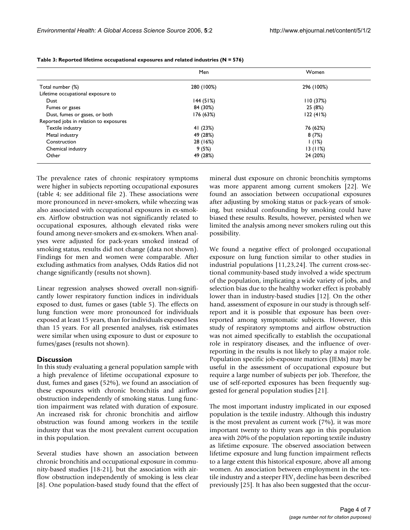|                                        | Men        | Women      |  |
|----------------------------------------|------------|------------|--|
| Total number (%)                       | 280 (100%) | 296 (100%) |  |
| Lifetime occupational exposure to      |            |            |  |
| Dust                                   | 144(51%)   | 110(37%)   |  |
| Fumes or gases                         | 84 (30%)   | 25 (8%)    |  |
| Dust, fumes or gases, or both          | 176 (63%)  | 122(41%)   |  |
| Reported jobs in relation to exposures |            |            |  |
| Textile industry                       | 41 (23%)   | 76 (62%)   |  |
| Metal industry                         | 49 (28%)   | 8(7%)      |  |
| Construction                           | 28 (16%)   | 1(1%)      |  |
| Chemical industry                      | 9(5%)      | 13(11%)    |  |
| Other                                  | 49 (28%)   | 24 (20%)   |  |

**Table 3: Reported lifetime occupational exposures and related industries (N = 576)**

The prevalence rates of chronic respiratory symptoms were higher in subjects reporting occupational exposures (table 4; see additional file 2). These associations were more pronounced in never-smokers, while wheezing was also associated with occupational exposures in ex-smokers. Airflow obstruction was not significantly related to occupational exposures, although elevated risks were found among never-smokers and ex-smokers. When analyses were adjusted for pack-years smoked instead of smoking status, results did not change (data not shown). Findings for men and women were comparable. After excluding asthmatics from analyses, Odds Ratios did not change significantly (results not shown).

Linear regression analyses showed overall non-significantly lower respiratory function indices in individuals exposed to dust, fumes or gases (table 5). The effects on lung function were more pronounced for individuals exposed at least 15 years, than for individuals exposed less than 15 years. For all presented analyses, risk estimates were similar when using exposure to dust or exposure to fumes/gases (results not shown).

## **Discussion**

In this study evaluating a general population sample with a high prevalence of lifetime occupational exposure to dust, fumes and gases (52%), we found an association of these exposures with chronic bronchitis and airflow obstruction independently of smoking status. Lung function impairment was related with duration of exposure. An increased risk for chronic bronchitis and airflow obstruction was found among workers in the textile industry that was the most prevalent current occupation in this population.

Several studies have shown an association between chronic bronchitis and occupational exposure in community-based studies [18-21], but the association with airflow obstruction independently of smoking is less clear [8]. One population-based study found that the effect of mineral dust exposure on chronic bronchitis symptoms was more apparent among current smokers [22]. We found an association between occupational exposures after adjusting by smoking status or pack-years of smoking, but residual confounding by smoking could have biased these results. Results, however, persisted when we limited the analysis among never smokers ruling out this possibility.

We found a negative effect of prolonged occupational exposure on lung function similar to other studies in industrial populations [11,23,24]. The current cross-sectional community-based study involved a wide spectrum of the population, implicating a wide variety of jobs, and selection bias due to the healthy worker effect is probably lower than in industry-based studies [12]. On the other hand, assessment of exposure in our study is through selfreport and it is possible that exposure has been overreported among symptomatic subjects. However, this study of respiratory symptoms and airflow obstruction was not aimed specifically to establish the occupational role in respiratory diseases, and the influence of overreporting in the results is not likely to play a major role. Population specific job-exposure matrices (JEMs) may be useful in the assessment of occupational exposure but require a large number of subjects per job. Therefore, the use of self-reported exposures has been frequently suggested for general population studies [21].

The most important industry implicated in our exposed population is the textile industry. Although this industry is the most prevalent as current work (7%), it was more important twenty to thirty years ago in this population area with 20% of the population reporting textile industry as lifetime exposure. The observed association between lifetime exposure and lung function impairment reflects to a large extent this historical exposure, above all among women. An association between employment in the textile industry and a steeper  $FEV<sub>1</sub>$  decline has been described previously [25]. It has also been suggested that the occur-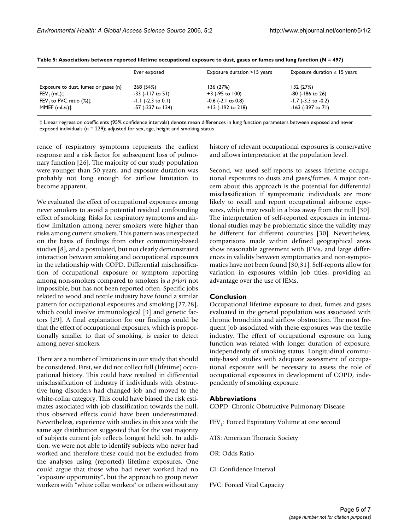|                                              | Ever exposed            | Exposure duration <15 years | Exposure duration $\geq$ 15 years |
|----------------------------------------------|-------------------------|-----------------------------|-----------------------------------|
| Exposure to dust, fumes or gases (n)         | 268 (54%)               | 136 (27%)                   | 132 (27%)                         |
| $FEV1$ (mL) $\ddagger$                       | $-33$ (-117 to 51)      | $+3$ (-95 to 100)           | -80 (-186 to 26)                  |
| FEV <sub>1</sub> to FVC ratio $(\%)\ddagger$ | $-1.1$ ( $-2.3$ to 0.1) | $-0.6$ ( $-2.1$ to $0.8$ )  | $-1.7$ ( $-3.3$ to $-0.2$ )       |
| $MMEF$ (mL/s) $\ddagger$                     | -57 (-237 to 124)       | $+13$ (-192 to 218)         | -163 (-397 to 71)                 |

**Table 5: Associations between reported lifetime occupational exposure to dust, gases or fumes and lung function (N = 497)**

‡ Linear regression coefficients (95% confidence intervals) denote mean differences in lung function parameters between exposed and never exposed individuals (n = 229); adjusted for sex, age, height and smoking status

rence of respiratory symptoms represents the earliest response and a risk factor for subsequent loss of pulmonary function [26]. The majority of our study population were younger than 50 years, and exposure duration was probably not long enough for airflow limitation to become apparent.

We evaluated the effect of occupational exposures among never smokers to avoid a potential residual confounding effect of smoking. Risks for respiratory symptoms and airflow limitation among never smokers were higher than risks among current smokers. This pattern was unexpected on the basis of findings from other community-based studies [8], and a postulated, but not clearly demonstrated interaction between smoking and occupational exposures in the relationship with COPD. Differential misclassification of occupational exposure or symptom reporting among non-smokers compared to smokers is *a priori* not impossible, but has not been reported often. Specific jobs related to wood and textile industry have found a similar pattern for occupational exposures and smoking [27,28], which could involve immunological [9] and genetic factors [29]. A final explanation for our findings could be that the effect of occupational exposures, which is proportionally smaller to that of smoking, is easier to detect among never-smokers.

There are a number of limitations in our study that should be considered. First, we did not collect full (lifetime) occupational history. This could have resulted in differential misclassification of industry if individuals with obstructive lung disorders had changed job and moved to the white-collar category. This could have biased the risk estimates associated with job classification towards the null, thus observed effects could have been underestimated. Nevertheless, experience with studies in this area with the same age distribution suggested that for the vast majority of subjects current job reflects longest held job. In addition, we were not able to identify subjects who never had worked and therefore these could not be excluded from the analyses using (reported) lifetime exposures. One could argue that those who had never worked had no "exposure opportunity", but the approach to group never workers with "white collar workers" or others without any history of relevant occupational exposures is conservative and allows interpretation at the population level.

Second, we used self-reports to assess lifetime occupational exposures to dusts and gases/fumes. A major concern about this approach is the potential for differential misclassification if symptomatic individuals are more likely to recall and report occupational airborne exposures, which may result in a bias away from the null [30]. The interpretation of self-reported exposures in international studies may be problematic since the validity may be different for different countries [30]. Nevertheless, comparisons made within defined geographical areas show reasonable agreement with JEMs, and large differences in validity between symptomatics and non-symptomatics have not been found [30,31]. Self-reports allow for variation in exposures within job titles, providing an advantage over the use of JEMs.

## **Conclusion**

Occupational lifetime exposure to dust, fumes and gases evaluated in the general population was associated with chronic bronchitis and airflow obstruction. The most frequent job associated with these exposures was the textile industry. The effect of occupational exposure on lung function was related with longer duration of exposure, independently of smoking status. Longitudinal community-based studies with adequate assessment of occupational exposure will be necessary to assess the role of occupational exposures in development of COPD, independently of smoking exposure.

## **Abbreviations**

COPD: Chronic Obstructive Pulmonary Disease

FEV<sub>1</sub>: Forced Expiratory Volume at one second

- ATS: American Thoracic Society
- OR: Odds Ratio
- CI: Confidence Interval
- FVC: Forced Vital Capacity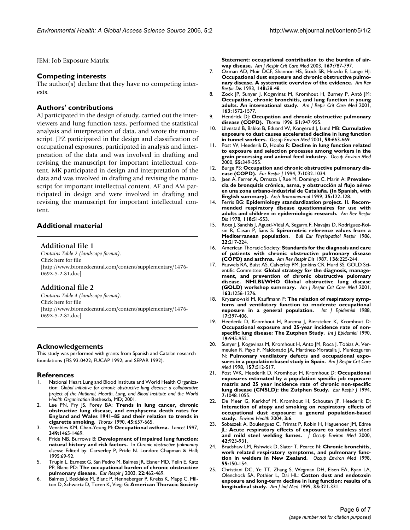JEM: Job Exposure Matrix

## **Competing interests**

The author(s) declare that they have no competing interests.

## **Authors' contributions**

AJ participated in the design of study, carried out the interviewers and lung function tests, performed the statistical analysis and interpretation of data, and wrote the manuscript. JPZ participated in the design and classification of occupational exposures, participated in analysis and interpretation of the data and was involved in drafting and revising the manuscript for important intellectual content. MK participated in design and interpretation of the data and was involved in drafting and revising the manuscript for important intellectual content. AF and AM participated in design and were involved in drafting and revising the manuscript for important intellectual content.

## **Additional material**

## **Additional file 1**

*Contains Table 2 (landscape format).* Click here for file [\[http://www.biomedcentral.com/content/supplementary/1476-](http://www.biomedcentral.com/content/supplementary/1476-069X-5-2-S1.doc) 069X-5-2-S1.doc]

## **Additional file 2**

*Contains Table 4 (landscape format).* Click here for file [\[http://www.biomedcentral.com/content/supplementary/1476-](http://www.biomedcentral.com/content/supplementary/1476-069X-5-2-S2.doc) 069X-5-2-S2.doc]

## **Acknowledgements**

This study was performed with grants from Spanish and Catalan research foundations (FIS 93-0422; FUCAP 1992; and SEPAR 1992).

#### **References**

- 1. National Heart Lung and Blood Institute and World Health Organization: *Global initiative for chronic obstructive lung disease: a collaborative project of the National, Hearth, Lung, and Blood Institute and the World Health Organization* Bethesda, MD; 2001.
- Lee PN, Fry JS, Forey BA: [Trends in lung cancer, chronic](http://www.ncbi.nlm.nih.gov/entrez/query.fcgi?cmd=Retrieve&db=PubMed&dopt=Abstract&list_uids=2218972) **obstructive lung disease, and emphysema death rates for [England and Wales 1941–85 and their relation to trends in](http://www.ncbi.nlm.nih.gov/entrez/query.fcgi?cmd=Retrieve&db=PubMed&dopt=Abstract&list_uids=2218972) [cigarette smoking.](http://www.ncbi.nlm.nih.gov/entrez/query.fcgi?cmd=Retrieve&db=PubMed&dopt=Abstract&list_uids=2218972)** *Thorax* 1990, **45:**657-665.
- 3. Venables KM, Chan-Yeung M: **[Occupational asthma.](http://www.ncbi.nlm.nih.gov/entrez/query.fcgi?cmd=Retrieve&db=PubMed&dopt=Abstract&list_uids=9164332)** *Lancet* 1997, **349:**1465-1469.
- 4. Pride NB, Burrows B: **Development of impaired lung function: natural history and risk factors.** In *Chronic obstructive pulmonary disease* Edited by: Carverley P, Pride N. London: Chapman & Hall; 1995:69-92.
- 5. Trupin L, Earnest G, San Pedro M, Balmes JR, Eisner MD, Yelin E, Katz PP, Blanc PD: **[The occupational burden of chronic obstructive](http://www.ncbi.nlm.nih.gov/entrez/query.fcgi?cmd=Retrieve&db=PubMed&dopt=Abstract&list_uids=14516136) [pulmonary disease.](http://www.ncbi.nlm.nih.gov/entrez/query.fcgi?cmd=Retrieve&db=PubMed&dopt=Abstract&list_uids=14516136)** *Eur Respir J* 2003, **22:**462-469.
- 6. Balmes J, Becklake M, Blanc P, Henneberger P, Kreiss K, Mapp C, Milton D, Schwartz D, Toren K, Viegi G: **[American Thoracic Society](http://www.ncbi.nlm.nih.gov/entrez/query.fcgi?cmd=Retrieve&db=PubMed&dopt=Abstract&list_uids=12598220)**

**[Statement: occupational contribution to the burden of air](http://www.ncbi.nlm.nih.gov/entrez/query.fcgi?cmd=Retrieve&db=PubMed&dopt=Abstract&list_uids=12598220)[way disease.](http://www.ncbi.nlm.nih.gov/entrez/query.fcgi?cmd=Retrieve&db=PubMed&dopt=Abstract&list_uids=12598220)** *Am J Respir Crit Care Med* 2003, **167:**787-797.

- 7. Oxman AD, Muir DCF, Shannon HS, Stock SR, Hnizdo E, Lange HJ: **[Occupational dust exposure and chronic obstructive pulmo](http://www.ncbi.nlm.nih.gov/entrez/query.fcgi?cmd=Retrieve&db=PubMed&dopt=Abstract&list_uids=8317812)[nary disease. A systematic overview of the evidence.](http://www.ncbi.nlm.nih.gov/entrez/query.fcgi?cmd=Retrieve&db=PubMed&dopt=Abstract&list_uids=8317812)** *Am Rev Respir Dis* 1993, **148:**38-48.
- 8. Zock JP, Sunyer J, Kogevinas M, Kromhout H, Burney P, Antó JM: **Occupation, chronic bronchitis, and lung function in young adults. An international study.** *Am J Repir Crit Care Med* 2001, **163:**1572-1577.
- 9. Hendrick DJ: **[Occupation and chronic obstructive pulmonary](http://www.ncbi.nlm.nih.gov/entrez/query.fcgi?cmd=Retrieve&db=PubMed&dopt=Abstract&list_uids=8984710) [disease \(COPD\).](http://www.ncbi.nlm.nih.gov/entrez/query.fcgi?cmd=Retrieve&db=PubMed&dopt=Abstract&list_uids=8984710)** *Thorax* 1996, **51:**947-955.
- 10. Ulvestad B, Bakke B, Eduard W, Kongerud J, Lund MB: **[Cumulative](http://www.ncbi.nlm.nih.gov/entrez/query.fcgi?cmd=Retrieve&db=PubMed&dopt=Abstract&list_uids=11555688) [exposure to dust causes accelerated decline in lung function](http://www.ncbi.nlm.nih.gov/entrez/query.fcgi?cmd=Retrieve&db=PubMed&dopt=Abstract&list_uids=11555688) [in tunnel workers.](http://www.ncbi.nlm.nih.gov/entrez/query.fcgi?cmd=Retrieve&db=PubMed&dopt=Abstract&list_uids=11555688)** *Occup Environ Med* 2001, **58:**663-669.
- 11. Post W, Heederik D, Houba R: **Decline in lung function related to exposure and selection processes among workers in the grain processing and animal feed industry.** *Occup Environ Med* 2000, **55:**349-355.
- 12. Burge PS: **[Occupation and chronic obstructive pulmonary dis](http://www.ncbi.nlm.nih.gov/entrez/query.fcgi?cmd=Retrieve&db=PubMed&dopt=Abstract&list_uids=7925869)[ease \(COPD\).](http://www.ncbi.nlm.nih.gov/entrez/query.fcgi?cmd=Retrieve&db=PubMed&dopt=Abstract&list_uids=7925869)** *Eur Respir J* 1994, **7:**1032-1034.
- 13. Jaen A, Ferrer A, Ormaza I, Rue M, Domingo C, Marin A: **[Prevalen](http://www.ncbi.nlm.nih.gov/entrez/query.fcgi?cmd=Retrieve&db=PubMed&dopt=Abstract&list_uids=10216744)cia de bronquitis crónica, asma, y obstrucción al flujo aéreo [en una zona urbano-industrial de Cataluña. \(In Spanish, with](http://www.ncbi.nlm.nih.gov/entrez/query.fcgi?cmd=Retrieve&db=PubMed&dopt=Abstract&list_uids=10216744) [English summary\).](http://www.ncbi.nlm.nih.gov/entrez/query.fcgi?cmd=Retrieve&db=PubMed&dopt=Abstract&list_uids=10216744)** *Arch Bronconeumol* 1999, **35:**122-128.
- 14. Ferris BG: **Epidemiology standardization project. II. Recommended respiratory disease questionnaires for use with adults and children in epidemiologic research.** *Am Rev Respir Dis* 1978, **118:**S1-S53.
- 15. Roca J, Sanchis J, Agustí-Vidal A, Segarra F, Navajas D, Rodriguez-Roisin R, Casan P, Sans S: **[Spirometric reference values from a](http://www.ncbi.nlm.nih.gov/entrez/query.fcgi?cmd=Retrieve&db=PubMed&dopt=Abstract&list_uids=3730638) [Mediterranean population.](http://www.ncbi.nlm.nih.gov/entrez/query.fcgi?cmd=Retrieve&db=PubMed&dopt=Abstract&list_uids=3730638)** *Bull Eur Physiopathol Respir* 1986, **22:**217-224.
- 16. American Thoracic Society: **[Standards for the diagnosis and care](http://www.ncbi.nlm.nih.gov/entrez/query.fcgi?cmd=Retrieve&db=PubMed&dopt=Abstract&list_uids=3605835) [of patients with chronic obstructive pulmonary disease](http://www.ncbi.nlm.nih.gov/entrez/query.fcgi?cmd=Retrieve&db=PubMed&dopt=Abstract&list_uids=3605835) [\(COPD\) and asthma.](http://www.ncbi.nlm.nih.gov/entrez/query.fcgi?cmd=Retrieve&db=PubMed&dopt=Abstract&list_uids=3605835)** *Am Rev Respir Dis* 1987, **136:**225-244.
- 17. Pauwels RA, Buist AS, Calverley PM, Jenkins CR, Hurd SS, GOLD Scientific Committee: **[Global strategy for the diagnosis, manage](http://www.ncbi.nlm.nih.gov/entrez/query.fcgi?cmd=Retrieve&db=PubMed&dopt=Abstract&list_uids=11316667)ment, and prevention of chronic obstructive pulomary [disease. NHLBI/WHO Global obstructive lung disease](http://www.ncbi.nlm.nih.gov/entrez/query.fcgi?cmd=Retrieve&db=PubMed&dopt=Abstract&list_uids=11316667) [\(GOLD\) workshop summary.](http://www.ncbi.nlm.nih.gov/entrez/query.fcgi?cmd=Retrieve&db=PubMed&dopt=Abstract&list_uids=11316667)** *Am J Respir Crit Care Med* 2001, **163:**1256-1276.
- 18. Kryzanowski M, Kauffmann F: **[The relation of respiratory symp](http://www.ncbi.nlm.nih.gov/entrez/query.fcgi?cmd=Retrieve&db=PubMed&dopt=Abstract&list_uids=3403137)[toms and ventilatory function to moderate occupational](http://www.ncbi.nlm.nih.gov/entrez/query.fcgi?cmd=Retrieve&db=PubMed&dopt=Abstract&list_uids=3403137) [exposure in a general population.](http://www.ncbi.nlm.nih.gov/entrez/query.fcgi?cmd=Retrieve&db=PubMed&dopt=Abstract&list_uids=3403137)** *Int J Epidemiol* 1988, **17:**397-406.
- 19. Heederik D, Kromhout H, Burema J, Biersteker K, Kromhout D: **[Occupational exposure and 25-year incidence rate of non](http://www.ncbi.nlm.nih.gov/entrez/query.fcgi?cmd=Retrieve&db=PubMed&dopt=Abstract&list_uids=2084026)[specific lung disease: The Zutphen Study.](http://www.ncbi.nlm.nih.gov/entrez/query.fcgi?cmd=Retrieve&db=PubMed&dopt=Abstract&list_uids=2084026)** *Int J Epidemiol* 1990, **19:**945-952.
- 20. Sunyer J, Kogevinas M, Kromhout H, Anto JM, Roca J, Tobias A, Vermeulen R, Payo F, Maldonado JA, Martinez-Moratalla J, Muniozguren N: **[Pulmonary ventilatory defects and occupational expo](http://www.ncbi.nlm.nih.gov/entrez/query.fcgi?cmd=Retrieve&db=PubMed&dopt=Abstract&list_uids=9476866)[sures in a population-based study in Spain.](http://www.ncbi.nlm.nih.gov/entrez/query.fcgi?cmd=Retrieve&db=PubMed&dopt=Abstract&list_uids=9476866)** *Am J Respir Crit Care Med* 1998, **157:**512-517.
- 21. Post WK, Heederik D, Kromhout H, Kromhout D: **[Occupational](http://www.ncbi.nlm.nih.gov/entrez/query.fcgi?cmd=Retrieve&db=PubMed&dopt=Abstract&list_uids=7925872) exposures estimated by a population specific job exposure [matrix and 25 year incidence rate of chronic non-specific](http://www.ncbi.nlm.nih.gov/entrez/query.fcgi?cmd=Retrieve&db=PubMed&dopt=Abstract&list_uids=7925872) [lung disease \(CNSLD\): the Zutphen Study.](http://www.ncbi.nlm.nih.gov/entrez/query.fcgi?cmd=Retrieve&db=PubMed&dopt=Abstract&list_uids=7925872)** *Eur Respir J* 1994, **7:**1048-1055.
- 22. De Meer G, Kerkhof M, Kromhout H, Schouten JP, Heederik D: **Interaction of atopy and smoking on respiratory effects of [occupational dust exposure: a general population-based](http://www.ncbi.nlm.nih.gov/entrez/query.fcgi?cmd=Retrieve&db=PubMed&dopt=Abstract&list_uids=15175108) [study.](http://www.ncbi.nlm.nih.gov/entrez/query.fcgi?cmd=Retrieve&db=PubMed&dopt=Abstract&list_uids=15175108)** *Environ Health* 2004, **3:**6.
- 23. Sobaszek A, Boulenguez C, Frimat P, Robin H, Haguenoer JM, Edme JL: **[Acute respiratory effects of exposure to stainless steel](http://www.ncbi.nlm.nih.gov/entrez/query.fcgi?cmd=Retrieve&db=PubMed&dopt=Abstract&list_uids=10998769) [and mild steel welding fumes.](http://www.ncbi.nlm.nih.gov/entrez/query.fcgi?cmd=Retrieve&db=PubMed&dopt=Abstract&list_uids=10998769)** *J Occup Environ Med* 2000, **42:**923-931.
- 24. Bradshaw LM, Fishwick D, Slater T, Pearce N: **[Chronic bronchitis,](http://www.ncbi.nlm.nih.gov/entrez/query.fcgi?cmd=Retrieve&db=PubMed&dopt=Abstract&list_uids=9624265) [work related respiratory symptoms, and pulmonary func](http://www.ncbi.nlm.nih.gov/entrez/query.fcgi?cmd=Retrieve&db=PubMed&dopt=Abstract&list_uids=9624265)[tion in welders in New Zealand.](http://www.ncbi.nlm.nih.gov/entrez/query.fcgi?cmd=Retrieve&db=PubMed&dopt=Abstract&list_uids=9624265)** *Occup Environ Med* 1998, **55:**150-154.
- 25. Christiani DC, Ye TT, Zhang S, Wegman DH, Eisen EA, Ryan LA, Olenchock SA, Pothier L, Dai HL: **[Cotton dust and endotoxin](http://www.ncbi.nlm.nih.gov/entrez/query.fcgi?cmd=Retrieve&db=PubMed&dopt=Abstract&list_uids=10086207) [exposure and long-term decline in lung function: results of a](http://www.ncbi.nlm.nih.gov/entrez/query.fcgi?cmd=Retrieve&db=PubMed&dopt=Abstract&list_uids=10086207) [longitudinal study.](http://www.ncbi.nlm.nih.gov/entrez/query.fcgi?cmd=Retrieve&db=PubMed&dopt=Abstract&list_uids=10086207)** *Am J Ind Med* 1999, **35:**321-331.